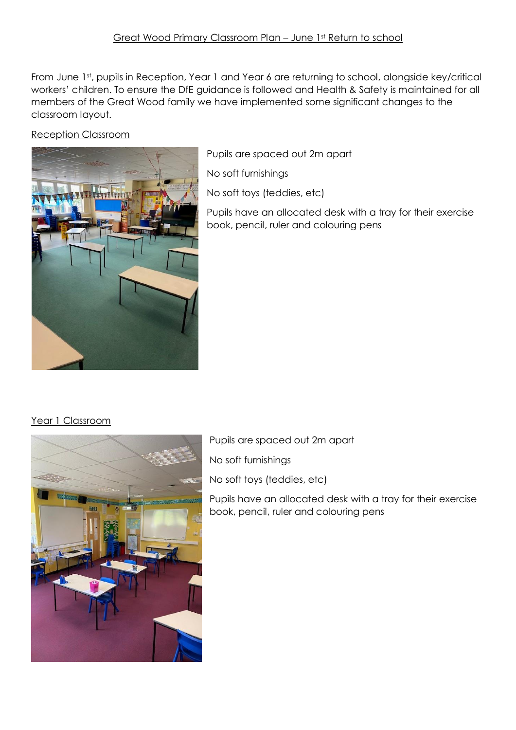From June 1st, pupils in Reception, Year 1 and Year 6 are returning to school, alongside key/critical workers' children. To ensure the DfE guidance is followed and Health & Safety is maintained for all members of the Great Wood family we have implemented some significant changes to the classroom layout.

Reception Classroom



Pupils are spaced out 2m apart

No soft furnishings

No soft toys (teddies, etc)

Pupils have an allocated desk with a tray for their exercise book, pencil, ruler and colouring pens

## Year 1 Classroom



Pupils are spaced out 2m apart

No soft furnishings

No soft toys (teddies, etc)

Pupils have an allocated desk with a tray for their exercise book, pencil, ruler and colouring pens